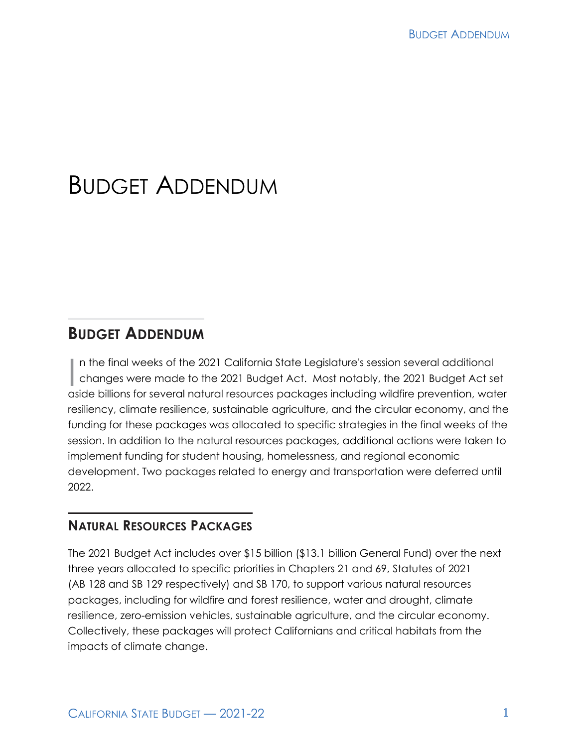# BUDGET ADDENDUM

## **BUDGET ADDENDUM**

In the final weeks of the 2021 California State Legislature's session several additional<br>changes were made to the 2021 Budget Act. Most notably, the 2021 Budget Act see<br>raids billions for several actual reserves a palazzes changes were made to the 2021 Budget Act. Most notably, the 2021 Budget Act set aside billions for several natural resources packages including wildfire prevention, water resiliency, climate resilience, sustainable agriculture, and the circular economy, and the funding for these packages was allocated to specific strategies in the final weeks of the session. In addition to the natural resources packages, additional actions were taken to implement funding for student housing, homelessness, and regional economic development. Two packages related to energy and transportation were deferred until 2022.

## **NATURAL RESOURCES PACKAGES**

The 2021 Budget Act includes over \$15 billion (\$13.1 billion General Fund) over the next three years allocated to specific priorities in Chapters 21 and 69, Statutes of 2021 (AB 128 and SB 129 respectively) and SB 170, to support various natural resources packages, including for wildfire and forest resilience, water and drought, climate resilience, zero-emission vehicles, sustainable agriculture, and the circular economy. Collectively, these packages will protect Californians and critical habitats from the impacts of climate change.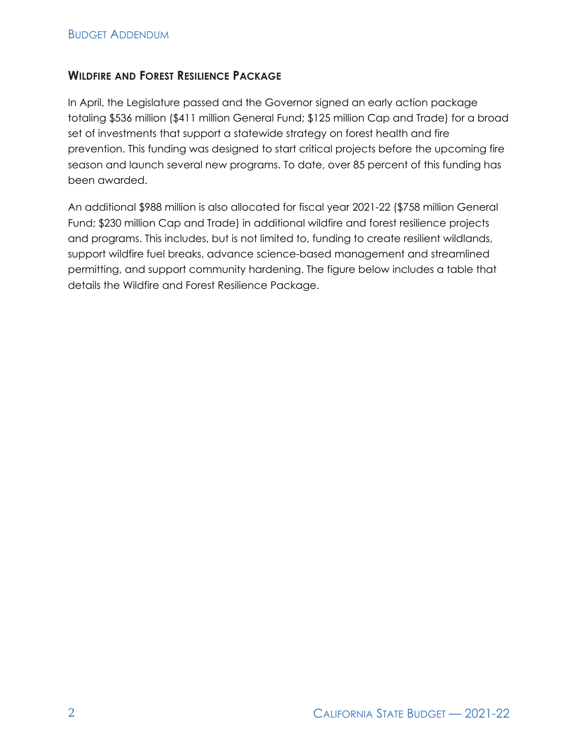#### **WILDFIRE AND FOREST RESILIENCE PACKAGE**

In April, the Legislature passed and the Governor signed an early action package totaling \$536 million (\$411 million General Fund; \$125 million Cap and Trade) for a broad set of investments that support a statewide strategy on forest health and fire prevention. This funding was designed to start critical projects before the upcoming fire season and launch several new programs. To date, over 85 percent of this funding has been awarded.

An additional \$988 million is also allocated for fiscal year 2021-22 (\$758 million General Fund; \$230 million Cap and Trade) in additional wildfire and forest resilience projects and programs. This includes, but is not limited to, funding to create resilient wildlands, support wildfire fuel breaks, advance science-based management and streamlined permitting, and support community hardening. The figure below includes a table that details the Wildfire and Forest Resilience Package.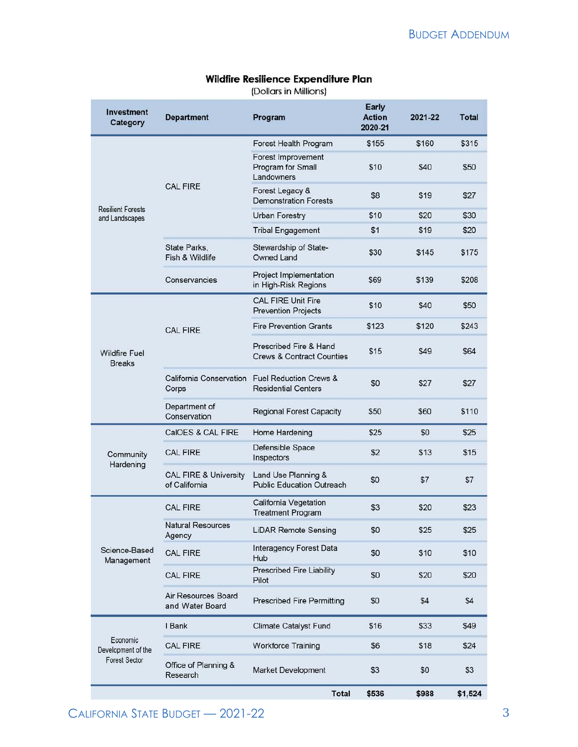#### Early **Investment Department** Program **Action** 2021-22 **Total** Category 2020-21 Forest Health Program \$155 \$160 \$315 Forest Improvement Program for Small \$10 \$40 \$50 Landowners **CAL FIRE** Forest Legacy & \$27 \$8 \$19 **Demonstration Forests Resilient Forests Urban Forestry** \$10 \$20 \$30 and Landscapes  $$1$ \$19 \$20 **Tribal Engagement** State Parks. Stewardship of State-\$30 \$145 \$175 Fish & Wildlife Owned Land Project Implementation Conservancies \$69 \$139 \$208 in High-Risk Regions CAL FIRE Unit Fire \$10 \$40 \$50 **Prevention Projects Fire Prevention Grants** \$123 \$120 \$243 **CAL FIRE** Prescribed Fire & Hand \$15 \$49 \$64 **Wildfire Fuel Crews & Contract Counties Breaks** California Conservation Fuel Reduction Crews & \$0 \$27 \$27 Corps **Residential Centers** Department of \$50 \$60 \$110 **Regional Forest Capacity** Conservation CalOES & CAL FIRE \$25 \$25 Home Hardening \$0 Defensible Space  $$2$ CAL FIRE \$13 \$15 Community Inspectors Hardening **CAL FIRE & University** Land Use Planning & \$0  $$7$  $$7$ **Public Education Outreach** of California California Vegetation **CAL FIRE** \$3 \$20 \$23 **Treatment Program Natural Resources LiDAR Remote Sensing** \$0 \$25 \$25 Agency **Interagency Forest Data** Science-Based **CAL FIRE** \$0 \$10 \$10 Hub Management **Prescribed Fire Liability CAL FIRE** \$0 \$20 \$20 Pilot Air Resources Board **Prescribed Fire Permitting** \$0 \$4 \$4 and Water Board I Bank **Climate Catalyst Fund** \$16 \$33 \$49 Economic **CAL FIRE** \$18 \$24 **Workforce Training** \$6 Development of the **Forest Sector** Office of Planning & Market Development \$3 \$0 \$3 Research **Total** \$536 \$988 \$1,524

#### Wildfire Resilience Expenditure Plan

(Dollars in Millions)

CALIFORNIA STATE BUDGET - 2021-22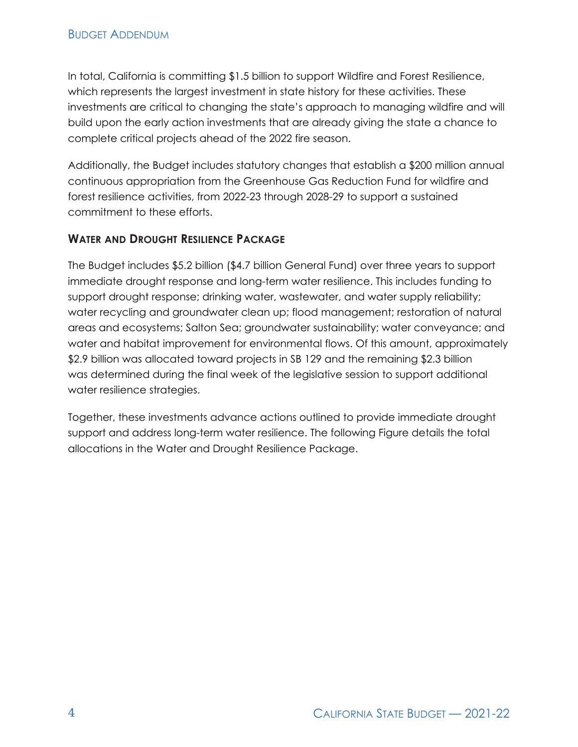In total, California is committing \$1.5 billion to support Wildfire and Forest Resilience, which represents the largest investment in state history for these activities. These investments are critical to changing the state's approach to managing wildfire and will build upon the early action investments that are already giving the state a chance to complete critical projects ahead of the 2022 fire season.

Additionally, the Budget includes statutory changes that establish a \$200 million annual continuous appropriation from the Greenhouse Gas Reduction Fund for wildfire and forest resilience activities, from 2022-23 through 2028-29 to support a sustained commitment to these efforts.

#### **WATER AND DROUGHT RESILIENCE PACKAGE**

The Budget includes \$5.2 billion (\$4.7 billion General Fund) over three years to support immediate drought response and long-term water resilience. This includes funding to support drought response; drinking water, wastewater, and water supply reliability; water recycling and groundwater clean up; flood management; restoration of natural areas and ecosystems; Salton Sea; groundwater sustainability; water conveyance; and water and habitat improvement for environmental flows. Of this amount, approximately \$2.9 billion was allocated toward projects in SB 129 and the remaining \$2.3 billion was determined during the final week of the legislative session to support additional water resilience strategies.

Together, these investments advance actions outlined to provide immediate drought support and address long-term water resilience. The following Figure details the total allocations in the Water and Drought Resilience Package.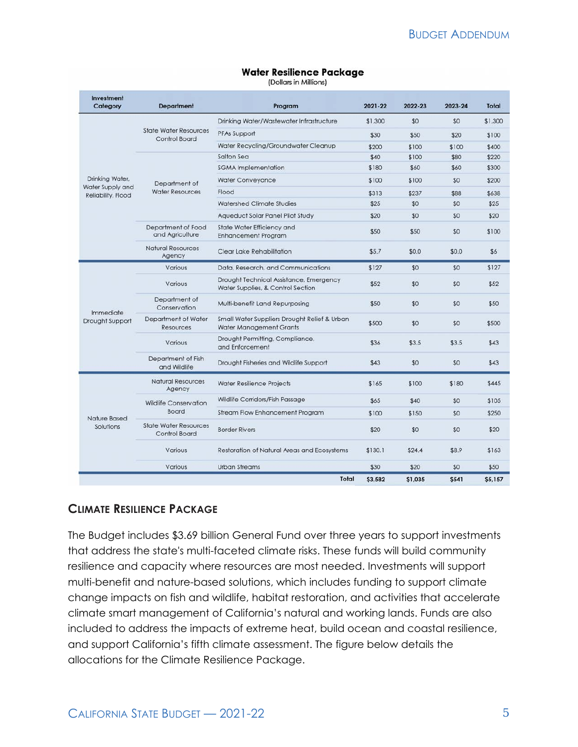| Investment<br>Category                 | <b>Department</b>                             | Program                                                                        | 2021-22 | 2022-23 | 2023-24     | <b>Total</b> |
|----------------------------------------|-----------------------------------------------|--------------------------------------------------------------------------------|---------|---------|-------------|--------------|
|                                        |                                               | Drinking Water/Wastewater Infrastructure                                       | \$1,300 | \$0     | \$0         | \$1,300      |
|                                        | <b>State Water Resources</b><br>Control Board | PFAs Support                                                                   | \$30    | \$50    | \$20        | \$100        |
|                                        |                                               | Water Recycling/Groundwater Cleanup                                            | \$200   | \$100   | \$100       | \$400        |
|                                        | Department of<br><b>Water Resources</b>       | Salton Sea                                                                     | \$40    | \$100   | \$80        | \$220        |
|                                        |                                               | <b>SGMA</b> Implementation                                                     | \$180   | \$60    | \$60        | \$300        |
| Drinking Water,                        |                                               | <b>Water Conveyance</b>                                                        | \$100   | \$100   | \$0         | \$200        |
| Water Supply and<br>Reliability, Flood |                                               | Flood                                                                          | \$313   | \$237   | \$88        | \$638        |
|                                        |                                               | <b>Watershed Climate Studies</b>                                               | \$25    | \$0     | \$0         | \$25         |
|                                        |                                               | Aqueduct Solar Panel Pilot Study                                               | \$20    | \$0     | \$0         | \$20         |
|                                        | Department of Food<br>and Agriculture         | State Water Efficiency and<br><b>Enhancement Program</b>                       | \$50    | \$50    | \$0         | \$100        |
|                                        | <b>Natural Resources</b><br>Agency            | <b>Clear Lake Rehabilitation</b>                                               | \$5.7   | \$0.0   | \$0.0       | \$6          |
| Immediate<br>Drought Support           | Various                                       | Data, Research, and Communications                                             | \$127   | \$0     | \$0         | \$127        |
|                                        | Various                                       | Drought Technical Assistance, Emergency<br>Water Supplies, & Control Section   | \$52    | \$0     | \$0         | \$52         |
|                                        | Department of<br>Conservation                 | Multi-benefit Land Repurposing                                                 | \$50    | \$0     | \$0         | \$50         |
|                                        | Department of Water<br>Resources              | Small Water Suppliers Drought Relief & Urban<br><b>Water Management Grants</b> | \$500   | \$0     | \$0         | \$500        |
|                                        | Various                                       | Drought Permitting, Compliance,<br>and Enforcement                             | \$36    | \$3.5   | \$3.5       | \$43         |
|                                        | Department of Fish<br>and Wildlife            | Drought Fisheries and Wildlife Support                                         | \$43    | \$0     | \$0         | \$43         |
|                                        | <b>Natural Resources</b><br>Agency            | <b>Water Resilience Projects</b>                                               | \$165   | \$100   | \$180       | \$445        |
|                                        | <b>Wildlife Conservation</b><br>Board         | Wildlife Corridors/Fish Passage                                                | \$65    | \$40    | \$0         | \$105        |
| Nature Based<br>Solutions              |                                               | <b>Stream Flow Enhancement Program</b>                                         | \$100   | \$150   | \$0         | \$250        |
|                                        | <b>State Water Resources</b><br>Control Board | <b>Border Rivers</b>                                                           | \$20    | \$0     | \$0         | \$20         |
|                                        | Various                                       | Restoration of Natural Areas and Ecosystems                                    | \$130.1 | \$24.4  | \$8.9       | \$163        |
|                                        | Various                                       | <b>Urban Streams</b>                                                           | \$30    | \$20    | \$0         | \$50         |
|                                        |                                               | Total                                                                          | \$3,582 | \$1,035 | <b>S541</b> | \$5,157      |

#### **CLIMATE RESILIENCE PACKAGE**

The Budget includes \$3.69 billion General Fund over three years to support investments that address the state's multi-faceted climate risks. These funds will build community resilience and capacity where resources are most needed. Investments will support multi-benefit and nature-based solutions, which includes funding to support climate change impacts on fish and wildlife, habitat restoration, and activities that accelerate climate smart management of California's natural and working lands. Funds are also included to address the impacts of extreme heat, build ocean and coastal resilience, and support California's fifth climate assessment. The figure below details the allocations for the Climate Resilience Package.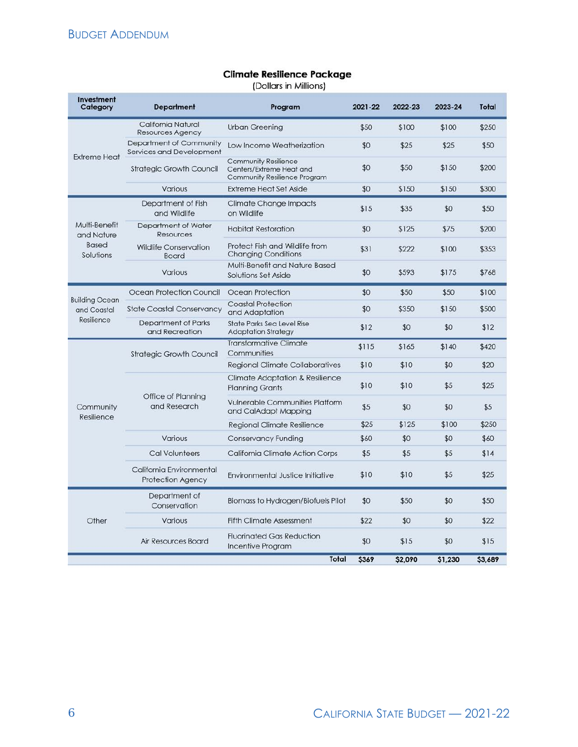## **Climate Resilience Package**

(Dollars in Millions)

| Investment<br>Category                                                                                                                                                                                                                                                                                                                                                                            | <b>Department</b>                                    | Program                                                                                        | 2021-22                                                                                                                                                               | 2022-23 | 2023-24 | <b>Total</b> |
|---------------------------------------------------------------------------------------------------------------------------------------------------------------------------------------------------------------------------------------------------------------------------------------------------------------------------------------------------------------------------------------------------|------------------------------------------------------|------------------------------------------------------------------------------------------------|-----------------------------------------------------------------------------------------------------------------------------------------------------------------------|---------|---------|--------------|
|                                                                                                                                                                                                                                                                                                                                                                                                   | California Natural<br><b>Resources Agency</b>        | <b>Urban Greening</b>                                                                          | \$50                                                                                                                                                                  | \$100   | \$100   | \$250        |
| <b>Extreme Heat</b>                                                                                                                                                                                                                                                                                                                                                                               | Department of Community<br>Services and Development  | Low Income Weatherization                                                                      | \$0                                                                                                                                                                   | \$25    | \$25    | \$50         |
|                                                                                                                                                                                                                                                                                                                                                                                                   | <b>Strategic Growth Council</b>                      | <b>Community Resilience</b><br>Centers/Extreme Heat and<br><b>Community Resilience Program</b> | \$0                                                                                                                                                                   | \$50    | \$150   | \$200        |
|                                                                                                                                                                                                                                                                                                                                                                                                   | Various                                              | <b>Extreme Heat Set Aside</b>                                                                  | \$0<br>\$150<br>\$15<br>\$35<br>\$0<br>\$125<br>\$31<br>\$222<br>\$0<br>\$593<br>\$0<br>\$50<br>\$0<br>\$350<br>\$12<br>\$0<br>\$115<br>\$165<br>\$10<br>\$10<br>\$10 | \$150   | \$300   |              |
|                                                                                                                                                                                                                                                                                                                                                                                                   | Department of Fish<br>and Wildlife                   | <b>Climate Change Impacts</b><br>on Wildlife                                                   |                                                                                                                                                                       |         | \$0     | \$50         |
| Multi-Benefit<br>and Nature                                                                                                                                                                                                                                                                                                                                                                       | Department of Water<br><b>Resources</b>              | <b>Habitat Restoration</b>                                                                     |                                                                                                                                                                       |         | \$75    | \$200        |
| <b>Based</b><br>Solutions                                                                                                                                                                                                                                                                                                                                                                         | <b>Wildlife Conservation</b><br><b>Board</b>         | Protect Fish and Wildlife from<br><b>Changing Conditions</b>                                   |                                                                                                                                                                       |         | \$100   | \$353        |
|                                                                                                                                                                                                                                                                                                                                                                                                   | Various                                              | Multi-Benefit and Nature Based<br>Solutions Set Aside                                          |                                                                                                                                                                       |         | \$175   | \$768        |
|                                                                                                                                                                                                                                                                                                                                                                                                   | Ocean Protection Council                             | Ocean Protection                                                                               |                                                                                                                                                                       |         | \$50    | \$100        |
| <b>Building Ocean</b><br>and Coastal<br>Resilience                                                                                                                                                                                                                                                                                                                                                | <b>State Coastal Conservancy</b>                     | <b>Coastal Protection</b><br>and Adaptation                                                    |                                                                                                                                                                       |         | \$150   | \$500        |
|                                                                                                                                                                                                                                                                                                                                                                                                   | Department of Parks<br>and Recreation                | <b>State Parks Sea Level Rise</b><br><b>Adaptation Strategy</b>                                |                                                                                                                                                                       |         | \$0     | \$12         |
| <b>Transformative Climate</b><br>Communities<br><b>Strategic Growth Council</b><br><b>Regional Climate Collaboratives</b><br><b>Climate Adaptation &amp; Resilience</b><br>\$10<br><b>Planning Grants</b><br>Office of Planning<br><b>Vulnerable Communities Platform</b><br>and Research<br>Community<br>\$5<br>and CalAdapt Mapping<br>Resilience<br>\$25<br><b>Regional Climate Resilience</b> |                                                      |                                                                                                |                                                                                                                                                                       |         | \$140   | \$420        |
|                                                                                                                                                                                                                                                                                                                                                                                                   |                                                      | \$0                                                                                            | \$20                                                                                                                                                                  |         |         |              |
|                                                                                                                                                                                                                                                                                                                                                                                                   |                                                      |                                                                                                |                                                                                                                                                                       |         | \$5     | \$25         |
|                                                                                                                                                                                                                                                                                                                                                                                                   |                                                      |                                                                                                |                                                                                                                                                                       | \$0     | \$0     | \$5          |
|                                                                                                                                                                                                                                                                                                                                                                                                   |                                                      |                                                                                                |                                                                                                                                                                       | \$125   | \$100   | \$250        |
|                                                                                                                                                                                                                                                                                                                                                                                                   | Various                                              | <b>Conservancy Funding</b>                                                                     | \$60                                                                                                                                                                  | \$0     | \$0     | \$60         |
|                                                                                                                                                                                                                                                                                                                                                                                                   | <b>Cal Volunteers</b>                                | <b>California Climate Action Corps</b>                                                         | \$5                                                                                                                                                                   | \$5     | \$5     | \$14         |
|                                                                                                                                                                                                                                                                                                                                                                                                   | California Environmental<br><b>Protection Agency</b> | Environmental Justice Initiative                                                               | \$10                                                                                                                                                                  | \$10    | \$5     | \$25         |
| Other                                                                                                                                                                                                                                                                                                                                                                                             | Department of<br>Conservation                        | <b>Biomass to Hydrogen/Biofuels Pilot</b>                                                      | \$0                                                                                                                                                                   | \$50    | \$0     | \$50         |
|                                                                                                                                                                                                                                                                                                                                                                                                   | Various                                              | <b>Fifth Climate Assessment</b>                                                                | \$22                                                                                                                                                                  | \$0     | \$0     | \$22         |
|                                                                                                                                                                                                                                                                                                                                                                                                   | Air Resources Board                                  | <b>Fluorinated Gas Reduction</b><br><b>Incentive Program</b>                                   | \$0                                                                                                                                                                   | \$15    | \$0     | \$15         |
|                                                                                                                                                                                                                                                                                                                                                                                                   |                                                      | <b>Total</b>                                                                                   | \$369                                                                                                                                                                 | \$2,090 | \$1,230 | \$3,689      |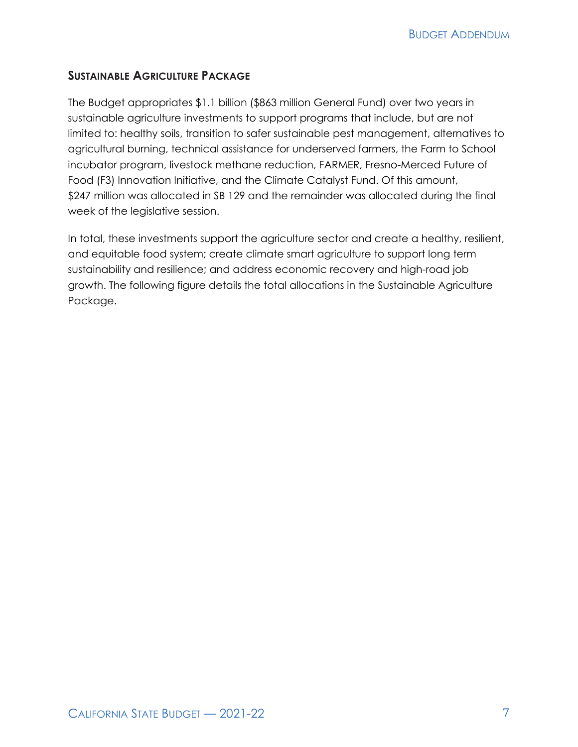#### **SUSTAINABLE AGRICULTURE PACKAGE**

The Budget appropriates \$1.1 billion (\$863 million General Fund) over two years in sustainable agriculture investments to support programs that include, but are not limited to: healthy soils, transition to safer sustainable pest management, alternatives to agricultural burning, technical assistance for underserved farmers, the Farm to School incubator program, livestock methane reduction, FARMER, Fresno-Merced Future of Food (F3) Innovation Initiative, and the Climate Catalyst Fund. Of this amount, \$247 million was allocated in SB 129 and the remainder was allocated during the final week of the legislative session.

In total, these investments support the agriculture sector and create a healthy, resilient, and equitable food system; create climate smart agriculture to support long term sustainability and resilience; and address economic recovery and high-road job growth. The following figure details the total allocations in the Sustainable Agriculture Package.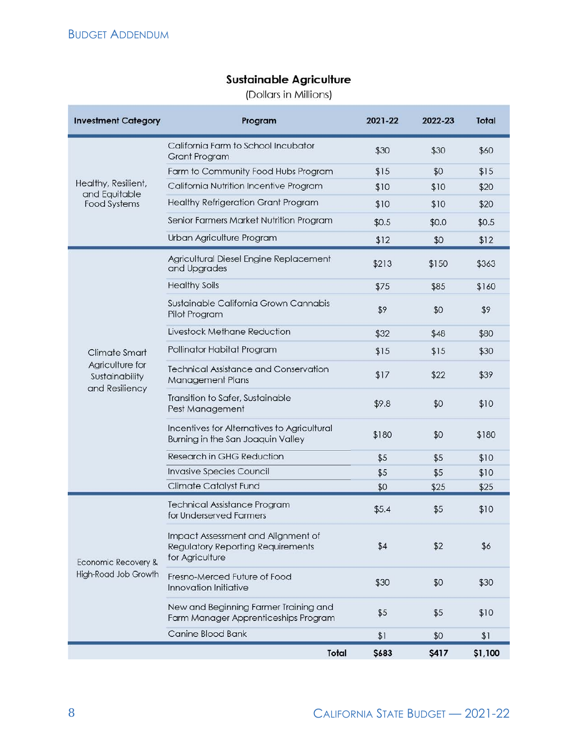#### **Sustainable Agriculture**

(Dollars in Millions)

| <b>Investment Category</b>                          | Program                                                                                           | 2021-22 | 2022-23      | <b>Total</b> |
|-----------------------------------------------------|---------------------------------------------------------------------------------------------------|---------|--------------|--------------|
|                                                     | California Farm to School Incubator<br><b>Grant Program</b>                                       | \$30    | \$30         | \$60         |
|                                                     | Farm to Community Food Hubs Program                                                               | \$15    | \$0          | \$15         |
| Healthy, Resilient,<br>and Equitable                | California Nutrition Incentive Program                                                            | \$10    | \$10         | \$20         |
| <b>Food Systems</b>                                 | <b>Healthy Refrigeration Grant Program</b>                                                        | \$10    | \$10         | \$20         |
|                                                     | Senior Farmers Market Nutrition Program                                                           | \$0.5   | \$0.0        | \$0.5        |
|                                                     | Urban Agriculture Program                                                                         | \$12    | \$0          | \$12         |
|                                                     | Agricultural Diesel Engine Replacement<br>and Upgrades                                            | \$213   | \$150        | \$363        |
|                                                     | <b>Healthy Soils</b>                                                                              | \$75    | \$85         | \$160        |
|                                                     | Sustainable California Grown Cannabis<br>Pilot Program                                            | \$9     | \$0          | \$9          |
|                                                     | Livestock Methane Reduction                                                                       | \$32    | \$48         | \$80         |
| Climate Smart                                       | Pollinator Habitat Program                                                                        | \$15    | \$15         | \$30         |
| Agriculture for<br>Sustainability<br>and Resiliency | <b>Technical Assistance and Conservation</b><br><b>Management Plans</b>                           | \$17    | \$22         | \$39         |
|                                                     | Transition to Safer, Sustainable<br>Pest Management                                               | \$9.8   | \$0          | \$10         |
|                                                     | Incentives for Alternatives to Agricultural<br>Burning in the San Joaquin Valley                  | \$180   | \$0          | \$180        |
|                                                     | Research in GHG Reduction                                                                         | \$5     | \$5          | \$10         |
|                                                     | <b>Invasive Species Council</b>                                                                   | \$5     | \$5          | \$10         |
|                                                     | <b>Climate Catalyst Fund</b>                                                                      | \$0     | \$25         | \$25         |
|                                                     | <b>Technical Assistance Program</b><br>for Underserved Farmers                                    | \$5.4   | \$5          | \$10         |
| Economic Recovery &<br>High-Road Job Growth         | Impact Assessment and Alignment of<br><b>Regulatory Reporting Requirements</b><br>for Agriculture | \$4     | \$2          | \$6          |
|                                                     | Fresno-Merced Future of Food<br>Innovation Initiative                                             | \$30    | \$0          | \$30         |
|                                                     | New and Beginning Farmer Training and<br>Farm Manager Apprenticeships Program                     | \$5     | \$5          | \$10         |
|                                                     | Canine Blood Bank                                                                                 | \$1     | \$0          | \$1          |
|                                                     | Total                                                                                             | \$683   | <b>\$417</b> | \$1,100      |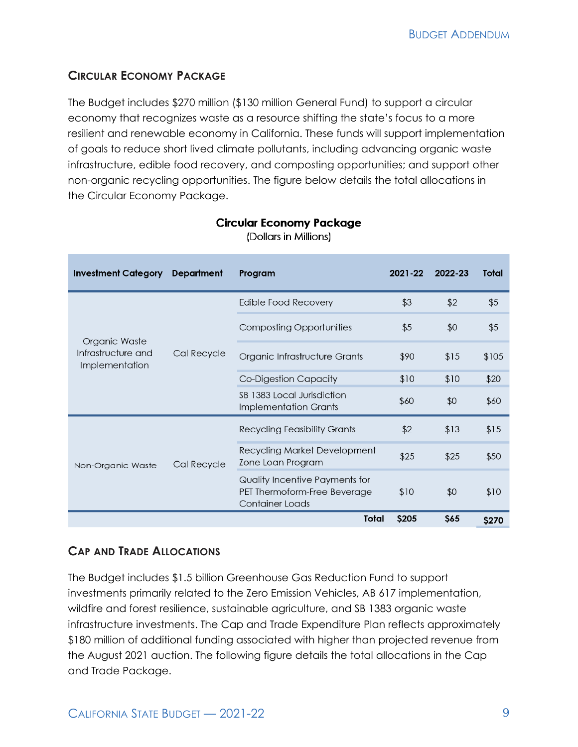### **CIRCULAR ECONOMY PACKAGE**

The Budget includes \$270 million (\$130 million General Fund) to support a circular economy that recognizes waste as a resource shifting the state's focus to a more resilient and renewable economy in California. These funds will support implementation of goals to reduce short lived climate pollutants, including advancing organic waste infrastructure, edible food recovery, and composting opportunities; and support other non-organic recycling opportunities. The figure below details the total allocations in the Circular Economy Package.

| <b>Investment Category</b>                            | <b>Department</b> | Program                                                                           | 2021-22 | 2022-23 | Total |
|-------------------------------------------------------|-------------------|-----------------------------------------------------------------------------------|---------|---------|-------|
| Organic Waste<br>Infrastructure and<br>Implementation |                   | <b>Edible Food Recovery</b>                                                       | \$3     | \$2     | \$5   |
|                                                       |                   | Composting Opportunities                                                          | \$5     | \$0     | \$5   |
|                                                       | Cal Recycle       | Organic Infrastructure Grants                                                     | \$90    | \$15    | \$105 |
|                                                       |                   | Co-Digestion Capacity                                                             | \$10    | \$10    | \$20  |
|                                                       |                   | SB 1383 Local Jurisdiction<br><b>Implementation Grants</b>                        | \$60    | \$0     | \$60  |
|                                                       | Cal Recycle       | <b>Recycling Feasibility Grants</b>                                               | \$2     | \$13    | \$15  |
| Non-Organic Waste                                     |                   | <b>Recycling Market Development</b><br>Zone Loan Program                          | \$25    | \$25    | \$50  |
|                                                       |                   | Quality Incentive Payments for<br>PET Thermoform-Free Beverage<br>Container Loads | \$10    | \$0     | \$10  |
|                                                       |                   | <b>Total</b>                                                                      | \$205   | \$65    | \$270 |

#### **Circular Economy Package** (Dollars in Millions)

### **CAP AND TRADE ALLOCATIONS**

The Budget includes \$1.5 billion Greenhouse Gas Reduction Fund to support investments primarily related to the Zero Emission Vehicles, AB 617 implementation, wildfire and forest resilience, sustainable agriculture, and SB 1383 organic waste infrastructure investments. The Cap and Trade Expenditure Plan reflects approximately \$180 million of additional funding associated with higher than projected revenue from the August 2021 auction. The following figure details the total allocations in the Cap and Trade Package.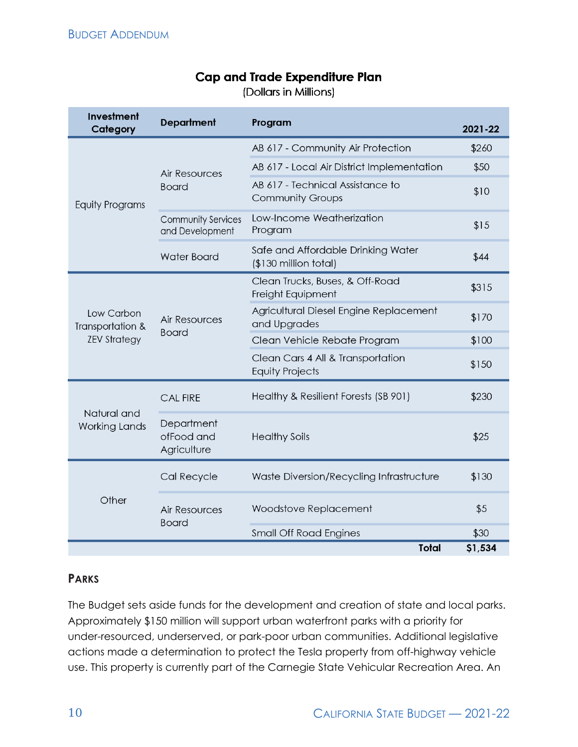## **Cap and Trade Expenditure Plan**

(Dollars in Millions)

| Investment<br>Category                                | <b>Department</b>                       | Program                                                     | 2021-22 |
|-------------------------------------------------------|-----------------------------------------|-------------------------------------------------------------|---------|
|                                                       |                                         | AB 617 - Community Air Protection                           | \$260   |
| <b>Equity Programs</b>                                | <b>Air Resources</b>                    | AB 617 - Local Air District Implementation                  | \$50    |
|                                                       | <b>Board</b>                            | AB 617 - Technical Assistance to<br><b>Community Groups</b> | \$10    |
|                                                       | Community Services<br>and Development   | Low-Income Weatherization<br>Program                        | \$15    |
|                                                       | <b>Water Board</b>                      | Safe and Affordable Drinking Water<br>(\$130 million total) | \$44    |
| Low Carbon<br>Transportation &<br><b>ZEV Strategy</b> |                                         | Clean Trucks, Buses, & Off-Road<br>Freight Equipment        | \$315   |
|                                                       | <b>Air Resources</b><br><b>Board</b>    | Agricultural Diesel Engine Replacement<br>and Upgrades      | \$170   |
|                                                       |                                         | Clean Vehicle Rebate Program                                | \$100   |
|                                                       |                                         | Clean Cars 4 All & Transportation<br><b>Equity Projects</b> | \$150   |
| Natural and<br><b>Working Lands</b>                   | <b>CAL FIRE</b>                         | Healthy & Resilient Forests (SB 901)                        | \$230   |
|                                                       | Department<br>ofFood and<br>Agriculture | <b>Healthy Soils</b>                                        | \$25    |
| Other                                                 | Cal Recycle                             | Waste Diversion/Recycling Infrastructure                    | \$130   |
|                                                       | <b>Air Resources</b><br><b>Board</b>    | Woodstove Replacement                                       | \$5     |
|                                                       |                                         | <b>Small Off Road Engines</b>                               | \$30    |
|                                                       |                                         | <b>Total</b>                                                | \$1,534 |

#### **PARKS**

The Budget sets aside funds for the development and creation of state and local parks. Approximately \$150 million will support urban waterfront parks with a priority for under-resourced, underserved, or park-poor urban communities. Additional legislative actions made a determination to protect the Tesla property from off-highway vehicle use. This property is currently part of the Carnegie State Vehicular Recreation Area. An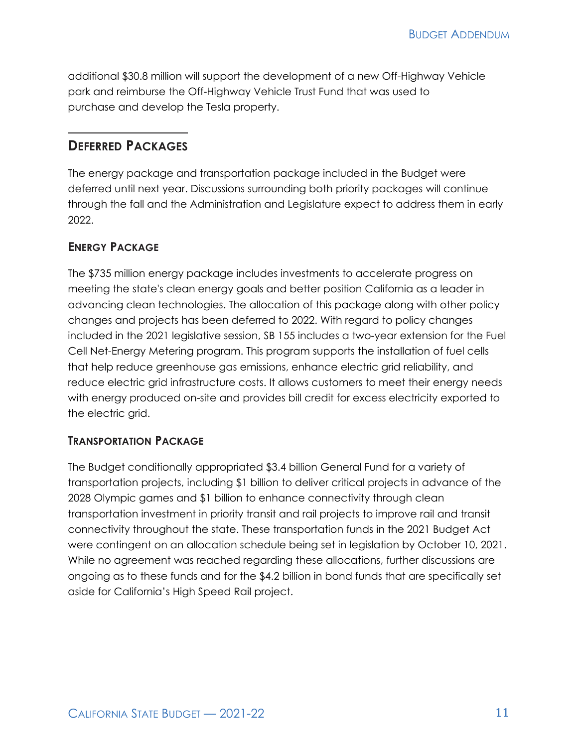additional \$30.8 million will support the development of a new Off-Highway Vehicle park and reimburse the Off-Highway Vehicle Trust Fund that was used to purchase and develop the Tesla property.

### **DEFERRED PACKAGES**

The energy package and transportation package included in the Budget were deferred until next year. Discussions surrounding both priority packages will continue through the fall and the Administration and Legislature expect to address them in early 2022.

#### **ENERGY PACKAGE**

The \$735 million energy package includes investments to accelerate progress on meeting the state's clean energy goals and better position California as a leader in advancing clean technologies. The allocation of this package along with other policy changes and projects has been deferred to 2022. With regard to policy changes included in the 2021 legislative session, SB 155 includes a two-year extension for the Fuel Cell Net-Energy Metering program. This program supports the installation of fuel cells that help reduce greenhouse gas emissions, enhance electric grid reliability, and reduce electric grid infrastructure costs. It allows customers to meet their energy needs with energy produced on-site and provides bill credit for excess electricity exported to the electric grid.

#### **TRANSPORTATION PACKAGE**

The Budget conditionally appropriated \$3.4 billion General Fund for a variety of transportation projects, including \$1 billion to deliver critical projects in advance of the 2028 Olympic games and \$1 billion to enhance connectivity through clean transportation investment in priority transit and rail projects to improve rail and transit connectivity throughout the state. These transportation funds in the 2021 Budget Act were contingent on an allocation schedule being set in legislation by October 10, 2021. While no agreement was reached regarding these allocations, further discussions are ongoing as to these funds and for the \$4.2 billion in bond funds that are specifically set aside for California's High Speed Rail project.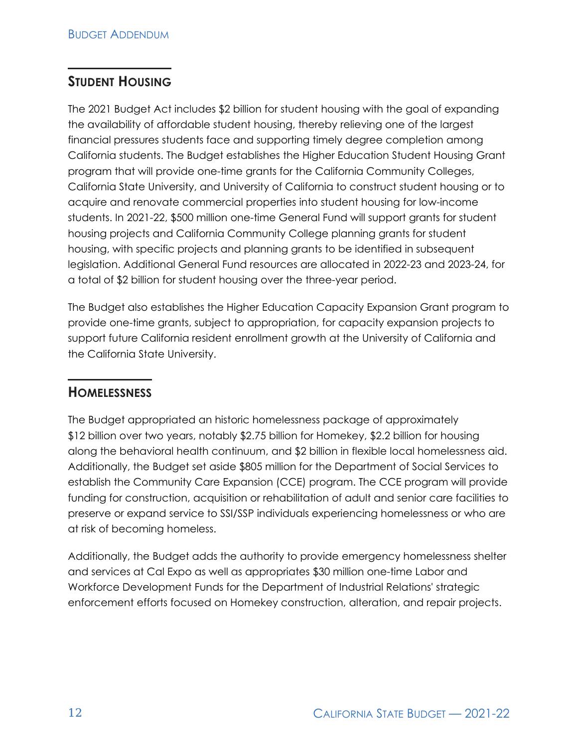## **STUDENT HOUSING**

The 2021 Budget Act includes \$2 billion for student housing with the goal of expanding the availability of affordable student housing, thereby relieving one of the largest financial pressures students face and supporting timely degree completion among California students. The Budget establishes the Higher Education Student Housing Grant program that will provide one-time grants for the California Community Colleges, California State University, and University of California to construct student housing or to acquire and renovate commercial properties into student housing for low-income students. In 2021-22, \$500 million one-time General Fund will support grants for student housing projects and California Community College planning grants for student housing, with specific projects and planning grants to be identified in subsequent legislation. Additional General Fund resources are allocated in 2022-23 and 2023-24, for a total of \$2 billion for student housing over the three-year period.

The Budget also establishes the Higher Education Capacity Expansion Grant program to provide one-time grants, subject to appropriation, for capacity expansion projects to support future California resident enrollment growth at the University of California and the California State University.

## **HOMELESSNESS**

The Budget appropriated an historic homelessness package of approximately \$12 billion over two years, notably \$2.75 billion for Homekey, \$2.2 billion for housing along the behavioral health continuum, and \$2 billion in flexible local homelessness aid. Additionally, the Budget set aside \$805 million for the Department of Social Services to establish the Community Care Expansion (CCE) program. The CCE program will provide funding for construction, acquisition or rehabilitation of adult and senior care facilities to preserve or expand service to SSI/SSP individuals experiencing homelessness or who are at risk of becoming homeless.

Additionally, the Budget adds the authority to provide emergency homelessness shelter and services at Cal Expo as well as appropriates \$30 million one-time Labor and Workforce Development Funds for the Department of Industrial Relations' strategic enforcement efforts focused on Homekey construction, alteration, and repair projects.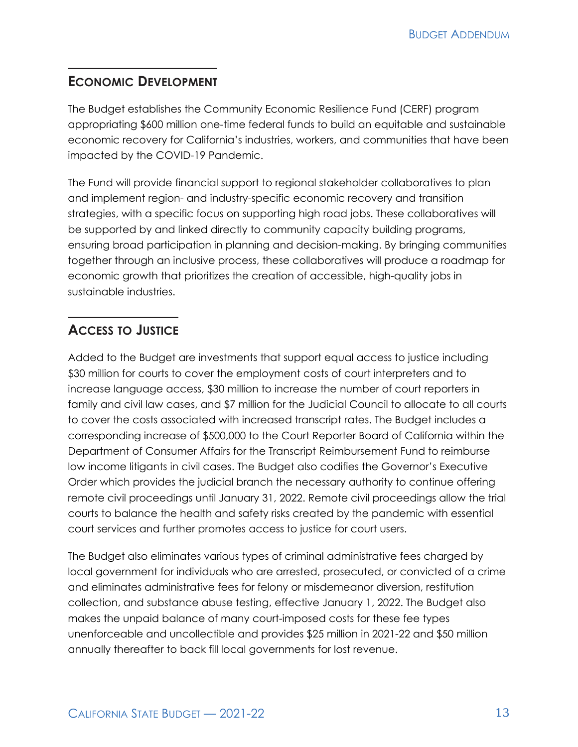## **ECONOMIC DEVELOPMENT**

The Budget establishes the Community Economic Resilience Fund (CERF) program appropriating \$600 million one-time federal funds to build an equitable and sustainable economic recovery for California's industries, workers, and communities that have been impacted by the COVID-19 Pandemic.

The Fund will provide financial support to regional stakeholder collaboratives to plan and implement region- and industry-specific economic recovery and transition strategies, with a specific focus on supporting high road jobs. These collaboratives will be supported by and linked directly to community capacity building programs, ensuring broad participation in planning and decision-making. By bringing communities together through an inclusive process, these collaboratives will produce a roadmap for economic growth that prioritizes the creation of accessible, high-quality jobs in sustainable industries.

## **ACCESS TO JUSTICE**

Added to the Budget are investments that support equal access to justice including \$30 million for courts to cover the employment costs of court interpreters and to increase language access, \$30 million to increase the number of court reporters in family and civil law cases, and \$7 million for the Judicial Council to allocate to all courts to cover the costs associated with increased transcript rates. The Budget includes a corresponding increase of \$500,000 to the Court Reporter Board of California within the Department of Consumer Affairs for the Transcript Reimbursement Fund to reimburse low income litigants in civil cases. The Budget also codifies the Governor's Executive Order which provides the judicial branch the necessary authority to continue offering remote civil proceedings until January 31, 2022. Remote civil proceedings allow the trial courts to balance the health and safety risks created by the pandemic with essential court services and further promotes access to justice for court users.

The Budget also eliminates various types of criminal administrative fees charged by local government for individuals who are arrested, prosecuted, or convicted of a crime and eliminates administrative fees for felony or misdemeanor diversion, restitution collection, and substance abuse testing, effective January 1, 2022. The Budget also makes the unpaid balance of many court-imposed costs for these fee types unenforceable and uncollectible and provides \$25 million in 2021-22 and \$50 million annually thereafter to back fill local governments for lost revenue.